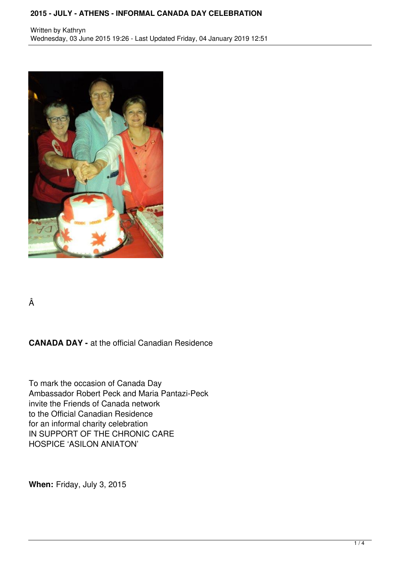## **2015 - JULY - ATHENS - INFORMAL CANADA DAY CELEBRATION**



Â

**CANADA DAY -** at the official Canadian Residence

To mark the occasion of Canada Day Ambassador Robert Peck and Maria Pantazi-Peck invite the Friends of Canada network to the Official Canadian Residence for an informal charity celebration IN SUPPORT OF THE CHRONIC CARE HOSPICE 'ASILON ANIATON'

**When:** Friday, July 3, 2015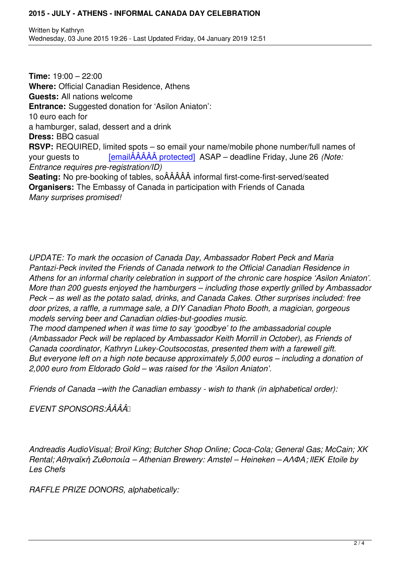**Time:** 19:00 – 22:00 **Where:** Official Canadian Residence, Athens **Guests:** All nations welcome **Entrance:** Suggested donation for 'Asilon Aniaton': 10 euro each for a hamburger, salad, dessert and a drink **Dress:** BBQ casual **RSVP:** REQUIRED, limited spots – so email your name/mobile phone number/full names of your guests to [emailÂÂÂÂÂ protected] ASAP – deadline Friday, June 26 *(Note: Entrance requires pre-registration/ID)* **Seating:** No pre-booking of tables, soÂÂÂÂÂ informal first-come-first-served/seated **Organisers:** The Em[bassy of Canada in partic](/cdn-cgi/l/email-protection#6c1e1f1a1c420f192c0b010d0500420f0301)ipation with Friends of Canada *Many surprises promised!*

*UPDATE: To mark the occasion of Canada Day, Ambassador Robert Peck and Maria Pantazi-Peck invited the Friends of Canada network to the Official Canadian Residence in Athens for an informal charity celebration in support of the chronic care hospice 'Asilon Aniaton'. More than 200 guests enjoyed the hamburgers – including those expertly grilled by Ambassador Peck – as well as the potato salad, drinks, and Canada Cakes. Other surprises included: free door prizes, a raffle, a rummage sale, a DIY Canadian Photo Booth, a magician, gorgeous models serving beer and Canadian oldies-but-goodies music.*

*The mood dampened when it was time to say 'goodbye' to the ambassadorial couple (Ambassador Peck will be replaced by Ambassador Keith Morrill in October), as Friends of Canada coordinator, Kathryn Lukey-Coutsocostas, presented them with a farewell gift. But everyone left on a high note because approximately 5,000 euros – including a donation of 2,000 euro from Eldorado Gold – was raised for the 'Asilon Aniaton'.*

*Friends of Canada –with the Canadian embassy - wish to thank (in alphabetical order):*

*EVENT SPONSORS:ÂÂÂÂ* 

*Andreadis AudioVisual; Broil King; Butcher Shop Online; Coca-Cola; General Gas; McCain; XK Rental; Αθηναϊκή Ζυθοποιία – Athenian Brewery: Amstel – Heineken – ΑΛΦΑ; ΙΙΕΚ Etoile by Les Chefs*

*RAFFLE PRIZE DONORS, alphabetically:*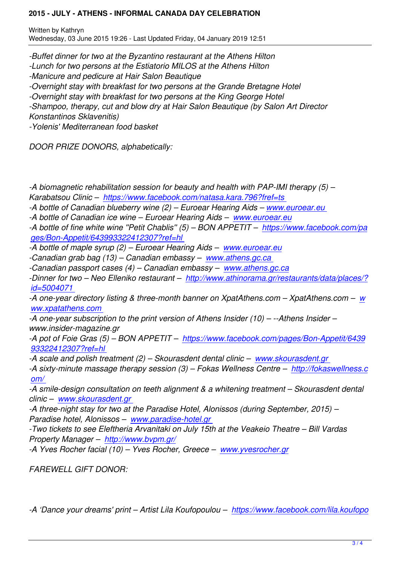*-Buffet dinner for two at the Byzantino restaurant at the Athens Hilton*

*-Lunch for two persons at the Estiatorio MILOS at the Athens Hilton*

*-Manicure and pedicure at Hair Salon Beautique*

*-Overnight stay with breakfast for two persons at the Grande Bretagne Hotel*

*-Overnight stay with breakfast for two persons at the King George Hotel*

*-Shampoo, therapy, cut and blow dry at Hair Salon Beautique (by Salon Art Director Konstantinos Sklavenitis)*

*-Yolenis' Mediterranean food basket*

*DOOR PRIZE DONORS, alphabetically:*

*-A biomagnetic rehabilitation session for beauty and health with PAP-IMI therapy (5) – Karabatsou Clinic – https://www.facebook.com/natasa.kara.796?fref=ts* 

*-A bottle of Canadian blueberry wine (2) – Euroear Hearing Aids – www.euroear.eu* 

*-A bottle of Canadian ice wine – Euroear Hearing Aids – www.euroear.eu*

*-A bottle of fine whit[e wine](https://www.facebook.com/natasa.kara.796?fref=ts) ''[Petit Chablis](https://www.facebook.com/natasa.kara.796?fref=ts)'' [\(5\) – BON APPETIT – https://w](https://www.facebook.com/natasa.kara.796?fref=ts)ww.facebook.com/pa ges/Bon-Appetit/643993322412307?ref=hl* 

*-A bottle of maple syrup (2) – Euroear Hearing Aids – w[ww.euroear.eu](http://www.euroear.eu)*

*-Canadian grab bag (13) – Canadian embassy – www.athens.gc[.ca](https://www.facebook.com/pages/Bon-Appetit/643993322412307?ref=hl)* 

*[-Canadian passport cases \(4\) – Canadian em](https://www.facebook.com/pages/Bon-Appetit/643993322412307?ref=hl)bassy – www.athens.gc.ca*

*-Dinner for two – Neo Elleniko restaurant – http://ww[w.athinorama.gr/re](http://www.euroear.eu)staurants/data/places/? id=5004071* 

*-A one-year directory listing & three-month banne[r on](http://www.athens.gc.ca%20) [XpatAthens.com –](http://www.athens.gc.ca) XpatAthens.com – w ww.xpatathens.com* 

*[-A one-year s](http://www.athinorama.gr/restaurants/data/places/?id=5004071)ubscription to the print version [of Athens Insider \(10\) – --Athens Insider –](http://www.athinorama.gr/restaurants/data/places/?id=5004071) www.insider-magazine.gr* 

*[-A pot of Foie Gras \(5](http://www.xpatathens.com)) – BON APPETIT – https://www.facebook.com/pages/Bon-Appetit/64[39](http://www.xpatathens.com) 93322412307?ref=hl* 

*-A scale and polish treatment (2) – Skourasdent dental clinic – www.skourasdent.gr* 

*-A sixty-minute massage therapy session ([3\) – Fokas Wellness Centre – http://fokaswellness.c](https://www.facebook.com/pages/Bon-Appetit/643993322412307?ref=hl) [om/](https://www.facebook.com/pages/Bon-Appetit/643993322412307?ref=hl)* 

*-A smile-design consultation on teeth alignment & a whitening t[reatment – Skourasde](http://www.skourasdent.gr)nt dental clinic – www.skourasdent.gr* 

*[-A thr](http://fokaswellness.com/)ee-night stay for two at the Paradise Hotel, Alonissos (during Septe[mber, 2015\) –](http://fokaswellness.com/) Paradise hotel, Alonissos – www.paradise-hotel.gr* 

*-Two tic[kets to see Eleftheria](http://www.skourasdent.gr%20) Arvanitaki on July 15th at the Veakeio Theatre – Bill Vardas Property Manager – http://www.bvpm.gr/*

*-A Yves Rocher facial (10) – [Yves Rocher, Greece –](http://www.paradise-hotel.gr%20) www.yvesrocher.gr*

*FAREWELL GIFT D[ONOR:](http://www.bvpm.gr/)*

*-A 'Dance your dreams' print – Artist Lila Koufopoulou – https://www.facebook.com/lila.koufopo*